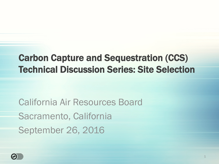#### Carbon Capture and Sequestration (CCS) Technical Discussion Series: Site Selection

California Air Resources Board Sacramento, California September 26, 2016

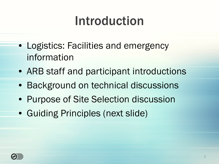### Introduction

- Logistics: Facilities and emergency information
- ARB staff and participant introductions
- Background on technical discussions
- Purpose of Site Selection discussion
- Guiding Principles (next slide)

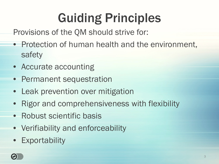# Guiding Principles

Provisions of the QM should strive for:

- Protection of human health and the environment, safety
- Accurate accounting
- Permanent sequestration
- Leak prevention over mitigation
- Rigor and comprehensiveness with flexibility
- Robust scientific basis
- Verifiability and enforceability
- Exportability

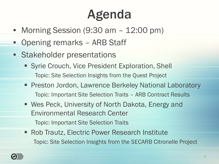# Agenda

- Morning Session (9:30 am 12:00 pm)
- Opening remarks ARB Staff
- Stakeholder presentations
	- **Syrie Crouch, Vice President Exploration, Shell** Topic: Site Selection Insights from the Quest Project
	- **Preston Jordon, Lawrence Berkeley National Laboratory** Topic: Important Site Selection Traits – ARB Contract Results
	- Wes Peck, University of North Dakota, Energy and Environmental Research Center

Topic: Important Site Selection Traits

■ Rob Trautz, Electric Power Research Institute Topic: Site Selection Insights from the SECARB Citronelle Project

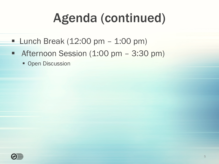## Agenda (continued)

- **Lunch Break (12:00 pm 1:00 pm)**
- Afternoon Session (1:00 pm 3:30 pm)
	- **Open Discussion**

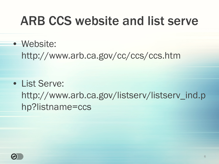### ARB CCS website and list serve

• Website:

http://www.arb.ca.gov/cc/ccs/ccs.htm

#### • List Serve:

http://www.arb.ca.gov/listserv/listserv\_ind.p hp?listname=ccs

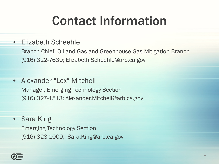# Contact Information

#### • Elizabeth Scheehle

Branch Chief, Oil and Gas and Greenhouse Gas Mitigation Branch (916) 322-7630; Elizabeth.Scheehle@arb.ca.gov

- Alexander "Lex" Mitchell Manager, Emerging Technology Section (916) 327-1513; Alexander.Mitchell@arb.ca.gov
- Sara King Emerging Technology Section (916) 323-1009; Sara.King@arb.ca.gov